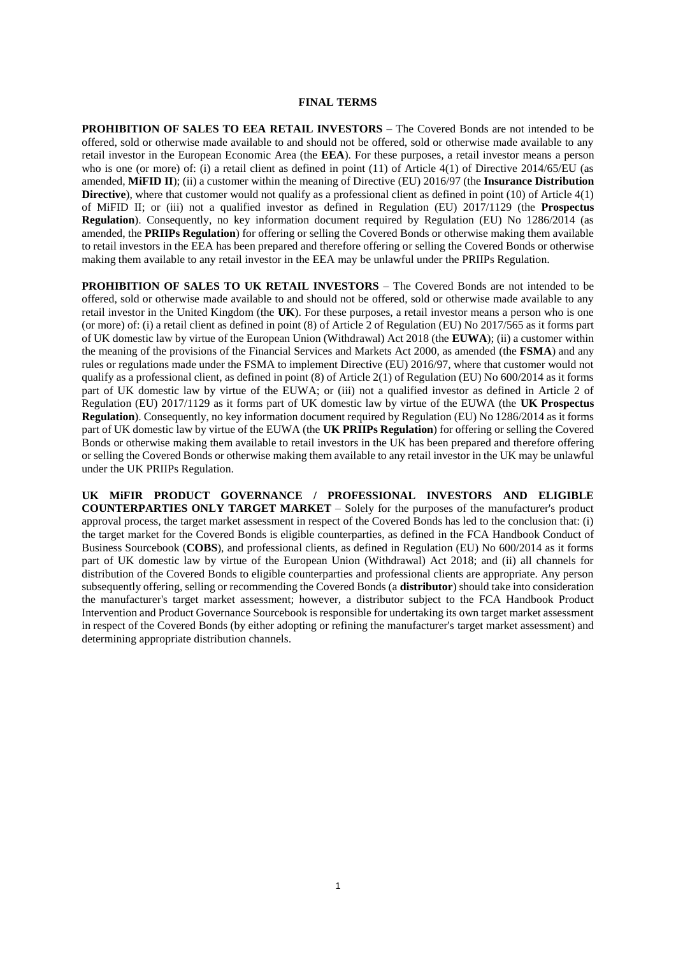#### **FINAL TERMS**

**PROHIBITION OF SALES TO EEA RETAIL INVESTORS** – The Covered Bonds are not intended to be offered, sold or otherwise made available to and should not be offered, sold or otherwise made available to any retail investor in the European Economic Area (the **EEA**). For these purposes, a retail investor means a person who is one (or more) of: (i) a retail client as defined in point (11) of Article 4(1) of Directive 2014/65/EU (as amended, **MiFID II**); (ii) a customer within the meaning of Directive (EU) 2016/97 (the **Insurance Distribution Directive**), where that customer would not qualify as a professional client as defined in point (10) of Article 4(1) of MiFID II; or (iii) not a qualified investor as defined in Regulation (EU) 2017/1129 (the **Prospectus Regulation**). Consequently, no key information document required by Regulation (EU) No 1286/2014 (as amended, the **PRIIPs Regulation**) for offering or selling the Covered Bonds or otherwise making them available to retail investors in the EEA has been prepared and therefore offering or selling the Covered Bonds or otherwise making them available to any retail investor in the EEA may be unlawful under the PRIIPs Regulation.

**PROHIBITION OF SALES TO UK RETAIL INVESTORS** – The Covered Bonds are not intended to be offered, sold or otherwise made available to and should not be offered, sold or otherwise made available to any retail investor in the United Kingdom (the **UK**). For these purposes, a retail investor means a person who is one (or more) of: (i) a retail client as defined in point (8) of Article 2 of Regulation (EU) No 2017/565 as it forms part of UK domestic law by virtue of the European Union (Withdrawal) Act 2018 (the **EUWA**); (ii) a customer within the meaning of the provisions of the Financial Services and Markets Act 2000, as amended (the **FSMA**) and any rules or regulations made under the FSMA to implement Directive (EU) 2016/97, where that customer would not qualify as a professional client, as defined in point (8) of Article 2(1) of Regulation (EU) No 600/2014 as it forms part of UK domestic law by virtue of the EUWA; or (iii) not a qualified investor as defined in Article 2 of Regulation (EU) 2017/1129 as it forms part of UK domestic law by virtue of the EUWA (the **UK Prospectus Regulation**). Consequently, no key information document required by Regulation (EU) No 1286/2014 as it forms part of UK domestic law by virtue of the EUWA (the **UK PRIIPs Regulation**) for offering or selling the Covered Bonds or otherwise making them available to retail investors in the UK has been prepared and therefore offering or selling the Covered Bonds or otherwise making them available to any retail investor in the UK may be unlawful under the UK PRIIPs Regulation.

**UK MiFIR PRODUCT GOVERNANCE / PROFESSIONAL INVESTORS AND ELIGIBLE COUNTERPARTIES ONLY TARGET MARKET** – Solely for the purposes of the manufacturer's product approval process, the target market assessment in respect of the Covered Bonds has led to the conclusion that: (i) the target market for the Covered Bonds is eligible counterparties, as defined in the FCA Handbook Conduct of Business Sourcebook (**COBS**), and professional clients, as defined in Regulation (EU) No 600/2014 as it forms part of UK domestic law by virtue of the European Union (Withdrawal) Act 2018; and (ii) all channels for distribution of the Covered Bonds to eligible counterparties and professional clients are appropriate. Any person subsequently offering, selling or recommending the Covered Bonds (a **distributor**) should take into consideration the manufacturer's target market assessment; however, a distributor subject to the FCA Handbook Product Intervention and Product Governance Sourcebook is responsible for undertaking its own target market assessment in respect of the Covered Bonds (by either adopting or refining the manufacturer's target market assessment) and determining appropriate distribution channels.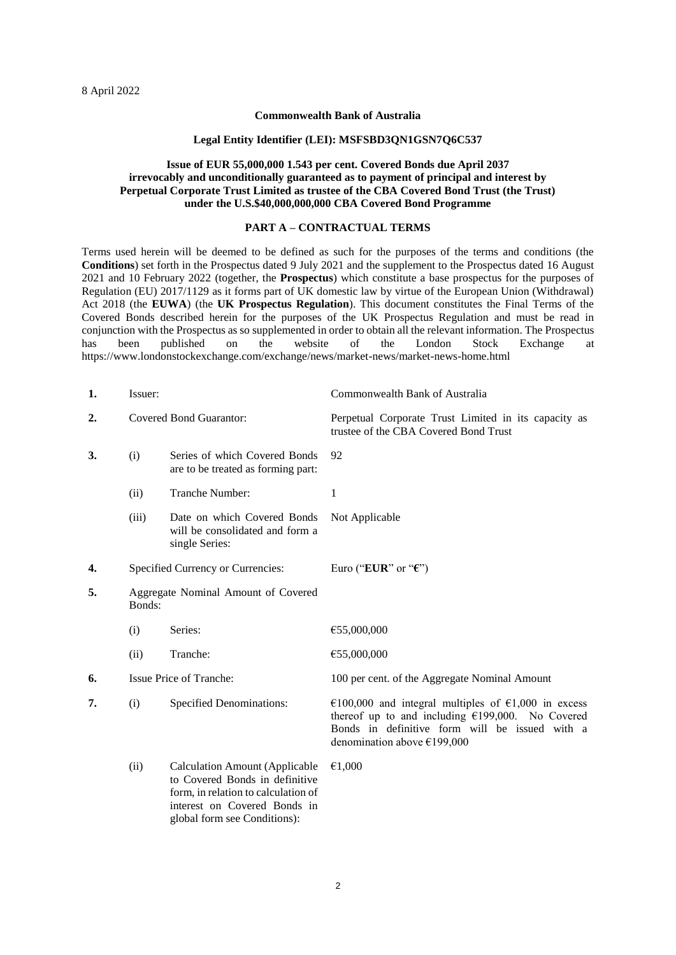## **Commonwealth Bank of Australia**

#### **Legal Entity Identifier (LEI): MSFSBD3QN1GSN7Q6C537**

## **Issue of EUR 55,000,000 1.543 per cent. Covered Bonds due April 2037 irrevocably and unconditionally guaranteed as to payment of principal and interest by Perpetual Corporate Trust Limited as trustee of the CBA Covered Bond Trust (the Trust) under the U.S.\$40,000,000,000 CBA Covered Bond Programme**

## **PART A – CONTRACTUAL TERMS**

Terms used herein will be deemed to be defined as such for the purposes of the terms and conditions (the **Conditions**) set forth in the Prospectus dated 9 July 2021 and the supplement to the Prospectus dated 16 August 2021 and 10 February 2022 (together, the **Prospectus**) which constitute a base prospectus for the purposes of Regulation (EU) 2017/1129 as it forms part of UK domestic law by virtue of the European Union (Withdrawal) Act 2018 (the **EUWA**) (the **UK Prospectus Regulation**). This document constitutes the Final Terms of the Covered Bonds described herein for the purposes of the UK Prospectus Regulation and must be read in conjunction with the Prospectus as so supplemented in order to obtain all the relevant information. The Prospectus has been published on the website of the London Stock Exchange at https://www.londonstockexchange.com/exchange/news/market-news/market-news-home.html

| 1. | Issuer:                                       |                                                                                                                                                                                | Commonwealth Bank of Australia                                                                                                                                                              |
|----|-----------------------------------------------|--------------------------------------------------------------------------------------------------------------------------------------------------------------------------------|---------------------------------------------------------------------------------------------------------------------------------------------------------------------------------------------|
| 2. | <b>Covered Bond Guarantor:</b>                |                                                                                                                                                                                | Perpetual Corporate Trust Limited in its capacity as<br>trustee of the CBA Covered Bond Trust                                                                                               |
| 3. | (i)                                           | Series of which Covered Bonds<br>are to be treated as forming part:                                                                                                            | 92                                                                                                                                                                                          |
|    | (ii)                                          | Tranche Number:                                                                                                                                                                | $\mathbf{1}$                                                                                                                                                                                |
|    | (iii)                                         | Date on which Covered Bonds<br>will be consolidated and form a<br>single Series:                                                                                               | Not Applicable                                                                                                                                                                              |
| 4. |                                               | Specified Currency or Currencies:                                                                                                                                              | Euro ("EUR" or " $\mathbf{\mathfrak{C}}$ ")                                                                                                                                                 |
| 5. | Aggregate Nominal Amount of Covered<br>Bonds: |                                                                                                                                                                                |                                                                                                                                                                                             |
|    | (i)                                           | Series:                                                                                                                                                                        | €55,000,000                                                                                                                                                                                 |
|    | (ii)                                          | Tranche:                                                                                                                                                                       | €55,000,000                                                                                                                                                                                 |
| 6. | Issue Price of Tranche:                       |                                                                                                                                                                                | 100 per cent. of the Aggregate Nominal Amount                                                                                                                                               |
| 7. | (i)                                           | <b>Specified Denominations:</b>                                                                                                                                                | €100,000 and integral multiples of €1,000 in excess<br>thereof up to and including $£199,000$ . No Covered<br>Bonds in definitive form will be issued with a<br>denomination above €199,000 |
|    | (ii)                                          | <b>Calculation Amount (Applicable</b><br>to Covered Bonds in definitive<br>form, in relation to calculation of<br>interest on Covered Bonds in<br>global form see Conditions): | €1,000                                                                                                                                                                                      |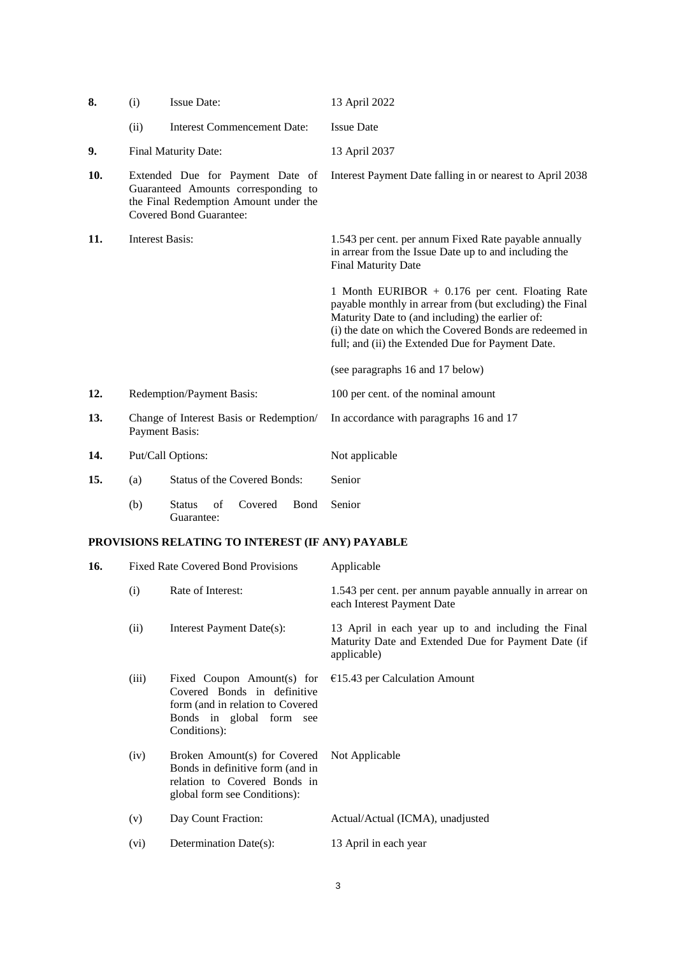| 8.  | (i)  | <b>Issue Date:</b>                                                                                                                                 | 13 April 2022                                                                                                                                                                                                                                                                   |
|-----|------|----------------------------------------------------------------------------------------------------------------------------------------------------|---------------------------------------------------------------------------------------------------------------------------------------------------------------------------------------------------------------------------------------------------------------------------------|
|     | (ii) | <b>Interest Commencement Date:</b>                                                                                                                 | <b>Issue Date</b>                                                                                                                                                                                                                                                               |
| 9.  |      | Final Maturity Date:                                                                                                                               | 13 April 2037                                                                                                                                                                                                                                                                   |
| 10. |      | Extended Due for Payment Date of<br>Guaranteed Amounts corresponding to<br>the Final Redemption Amount under the<br><b>Covered Bond Guarantee:</b> | Interest Payment Date falling in or nearest to April 2038                                                                                                                                                                                                                       |
| 11. |      | <b>Interest Basis:</b>                                                                                                                             | 1.543 per cent. per annum Fixed Rate payable annually<br>in arrear from the Issue Date up to and including the<br><b>Final Maturity Date</b>                                                                                                                                    |
|     |      |                                                                                                                                                    | 1 Month EURIBOR + 0.176 per cent. Floating Rate<br>payable monthly in arrear from (but excluding) the Final<br>Maturity Date to (and including) the earlier of:<br>(i) the date on which the Covered Bonds are redeemed in<br>full; and (ii) the Extended Due for Payment Date. |
|     |      |                                                                                                                                                    | (see paragraphs 16 and 17 below)                                                                                                                                                                                                                                                |
| 12. |      | <b>Redemption/Payment Basis:</b>                                                                                                                   | 100 per cent. of the nominal amount                                                                                                                                                                                                                                             |
| 13. |      | Change of Interest Basis or Redemption/<br><b>Payment Basis:</b>                                                                                   | In accordance with paragraphs 16 and 17                                                                                                                                                                                                                                         |
| 14. |      | Put/Call Options:                                                                                                                                  | Not applicable                                                                                                                                                                                                                                                                  |
| 15. | (a)  | Status of the Covered Bonds:                                                                                                                       | Senior                                                                                                                                                                                                                                                                          |
|     | (b)  | <b>Status</b><br>of<br>Covered<br><b>B</b> ond<br>Guarantee:                                                                                       | Senior                                                                                                                                                                                                                                                                          |

# **PROVISIONS RELATING TO INTEREST (IF ANY) PAYABLE**

<span id="page-2-0"></span>

| 16. |       | <b>Fixed Rate Covered Bond Provisions</b>                                                                                                                                         | Applicable                                                                                                                |
|-----|-------|-----------------------------------------------------------------------------------------------------------------------------------------------------------------------------------|---------------------------------------------------------------------------------------------------------------------------|
|     | (i)   | Rate of Interest:                                                                                                                                                                 | 1.543 per cent. per annum payable annually in arrear on<br>each Interest Payment Date                                     |
|     | (ii)  | Interest Payment Date(s):                                                                                                                                                         | 13 April in each year up to and including the Final<br>Maturity Date and Extended Due for Payment Date (if<br>applicable) |
|     | (iii) | Fixed Coupon Amount(s) for $\epsilon$ 15.43 per Calculation Amount<br>Covered Bonds in definitive<br>form (and in relation to Covered<br>Bonds in global form see<br>Conditions): |                                                                                                                           |
|     | (iv)  | Broken Amount(s) for Covered Not Applicable<br>Bonds in definitive form (and in<br>relation to Covered Bonds in<br>global form see Conditions):                                   |                                                                                                                           |
|     | (v)   | Day Count Fraction:                                                                                                                                                               | Actual/Actual (ICMA), unadjusted                                                                                          |
|     | (vi)  | Determination Date(s):                                                                                                                                                            | 13 April in each year                                                                                                     |
|     |       |                                                                                                                                                                                   |                                                                                                                           |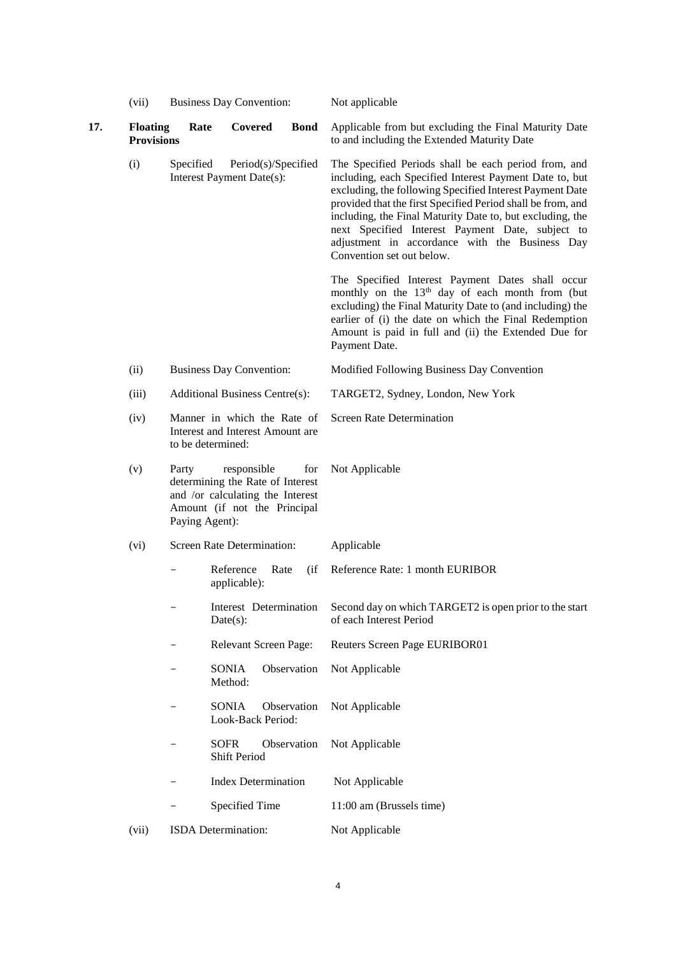<span id="page-3-0"></span>

|     | (vii)                                |                         | <b>Business Day Convention:</b>   |                                                                                                             | Not applicable                                                                                                                                                                                                                                                                                                                                                                                                                             |
|-----|--------------------------------------|-------------------------|-----------------------------------|-------------------------------------------------------------------------------------------------------------|--------------------------------------------------------------------------------------------------------------------------------------------------------------------------------------------------------------------------------------------------------------------------------------------------------------------------------------------------------------------------------------------------------------------------------------------|
| 17. | <b>Floating</b><br><b>Provisions</b> | Rate                    | Covered                           | <b>Bond</b>                                                                                                 | Applicable from but excluding the Final Maturity Date<br>to and including the Extended Maturity Date                                                                                                                                                                                                                                                                                                                                       |
|     | (i)                                  | Specified               | Interest Payment Date(s):         | Period(s)/Specified                                                                                         | The Specified Periods shall be each period from, and<br>including, each Specified Interest Payment Date to, but<br>excluding, the following Specified Interest Payment Date<br>provided that the first Specified Period shall be from, and<br>including, the Final Maturity Date to, but excluding, the<br>next Specified Interest Payment Date, subject to<br>adjustment in accordance with the Business Day<br>Convention set out below. |
|     |                                      |                         |                                   |                                                                                                             | The Specified Interest Payment Dates shall occur<br>monthly on the 13 <sup>th</sup> day of each month from (but<br>excluding) the Final Maturity Date to (and including) the<br>earlier of (i) the date on which the Final Redemption<br>Amount is paid in full and (ii) the Extended Due for<br>Payment Date.                                                                                                                             |
|     | (ii)                                 |                         | <b>Business Day Convention:</b>   |                                                                                                             | Modified Following Business Day Convention                                                                                                                                                                                                                                                                                                                                                                                                 |
|     | (iii)                                |                         | Additional Business Centre(s):    |                                                                                                             | TARGET2, Sydney, London, New York                                                                                                                                                                                                                                                                                                                                                                                                          |
|     | (iv)                                 |                         | to be determined:                 | Manner in which the Rate of<br>Interest and Interest Amount are                                             | <b>Screen Rate Determination</b>                                                                                                                                                                                                                                                                                                                                                                                                           |
|     | (v)                                  | Party<br>Paying Agent): | responsible                       | for<br>determining the Rate of Interest<br>and /or calculating the Interest<br>Amount (if not the Principal | Not Applicable                                                                                                                                                                                                                                                                                                                                                                                                                             |
|     | (vi)                                 |                         | Screen Rate Determination:        |                                                                                                             | Applicable                                                                                                                                                                                                                                                                                                                                                                                                                                 |
|     |                                      |                         | Reference<br>applicable):         | Rate<br>(i f)                                                                                               | Reference Rate: 1 month EURIBOR                                                                                                                                                                                                                                                                                                                                                                                                            |
|     |                                      |                         | Date(s):                          |                                                                                                             | Interest Determination Second day on which TARGET2 is open prior to the start<br>of each Interest Period                                                                                                                                                                                                                                                                                                                                   |
|     |                                      |                         |                                   | Relevant Screen Page:                                                                                       | Reuters Screen Page EURIBOR01                                                                                                                                                                                                                                                                                                                                                                                                              |
|     |                                      |                         | <b>SONIA</b><br>Method:           | Observation                                                                                                 | Not Applicable                                                                                                                                                                                                                                                                                                                                                                                                                             |
|     |                                      |                         | <b>SONIA</b><br>Look-Back Period: | Observation                                                                                                 | Not Applicable                                                                                                                                                                                                                                                                                                                                                                                                                             |
|     |                                      |                         | <b>SOFR</b><br>Shift Period       | Observation                                                                                                 | Not Applicable                                                                                                                                                                                                                                                                                                                                                                                                                             |
|     |                                      |                         | <b>Index Determination</b>        |                                                                                                             | Not Applicable                                                                                                                                                                                                                                                                                                                                                                                                                             |
|     |                                      |                         | Specified Time                    |                                                                                                             | 11:00 am (Brussels time)                                                                                                                                                                                                                                                                                                                                                                                                                   |
|     | (vii)                                |                         | ISDA Determination:               |                                                                                                             | Not Applicable                                                                                                                                                                                                                                                                                                                                                                                                                             |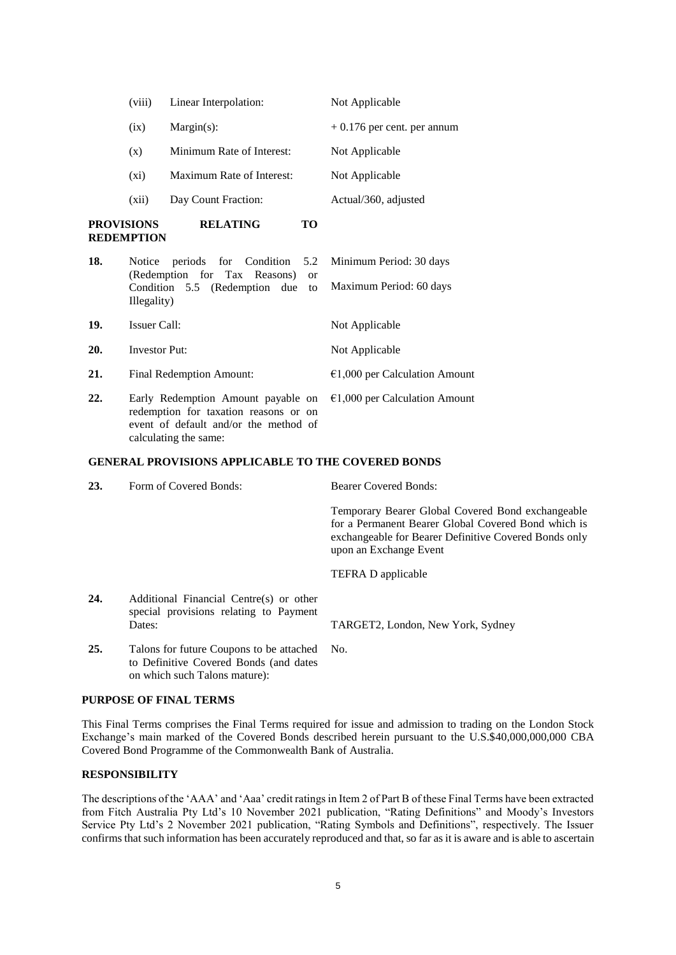|     | (viii)                                 | Linear Interpolation:                                                                                                |    | Not Applicable                                     |
|-----|----------------------------------------|----------------------------------------------------------------------------------------------------------------------|----|----------------------------------------------------|
|     | (ix)                                   | $Margin(s)$ :                                                                                                        |    | $+0.176$ per cent. per annum                       |
|     | (x)                                    | Minimum Rate of Interest:                                                                                            |    | Not Applicable                                     |
|     | $(x_i)$                                | Maximum Rate of Interest:                                                                                            |    | Not Applicable                                     |
|     | (xii)                                  | Day Count Fraction:                                                                                                  |    | Actual/360, adjusted                               |
|     | <b>PROVISIONS</b><br><b>REDEMPTION</b> | <b>RELATING</b><br>TО                                                                                                |    |                                                    |
| 18. | Notice<br>Illegality)                  | periods for Condition 5.2<br>(Redemption for Tax Reasons)<br><sub>or</sub><br>Condition 5.5 (Redemption due          | to | Minimum Period: 30 days<br>Maximum Period: 60 days |
| 19. | <b>Issuer Call:</b>                    |                                                                                                                      |    | Not Applicable                                     |
| 20. | <b>Investor Put:</b>                   |                                                                                                                      |    | Not Applicable                                     |
| 21. | Final Redemption Amount:               |                                                                                                                      |    | $€1,000$ per Calculation Amount                    |
| 22. |                                        | Early Redemption Amount payable on<br>redemption for taxation reasons or on<br>event of default and/or the method of |    | $€1,000$ per Calculation Amount                    |

calculating the same:

#### **GENERAL PROVISIONS APPLICABLE TO THE COVERED BONDS**

| 23. | Form of Covered Bonds:                                                                                                  | <b>Bearer Covered Bonds:</b>                                                                                                                                                                |
|-----|-------------------------------------------------------------------------------------------------------------------------|---------------------------------------------------------------------------------------------------------------------------------------------------------------------------------------------|
|     |                                                                                                                         | Temporary Bearer Global Covered Bond exchangeable<br>for a Permanent Bearer Global Covered Bond which is<br>exchangeable for Bearer Definitive Covered Bonds only<br>upon an Exchange Event |
|     |                                                                                                                         | TEFRA D applicable                                                                                                                                                                          |
| 24. | Additional Financial Centre(s) or other<br>special provisions relating to Payment<br>Dates:                             | TARGET2, London, New York, Sydney                                                                                                                                                           |
| 25. | Talons for future Coupons to be attached No.<br>to Definitive Covered Bonds (and dates<br>on which such Talons mature): |                                                                                                                                                                                             |

## **PURPOSE OF FINAL TERMS**

This Final Terms comprises the Final Terms required for issue and admission to trading on the London Stock Exchange's main marked of the Covered Bonds described herein pursuant to the U.S.\$40,000,000,000 CBA Covered Bond Programme of the Commonwealth Bank of Australia.

## **RESPONSIBILITY**

The descriptions of the 'AAA' and 'Aaa' credit ratings in Item 2 of Part B of these Final Terms have been extracted from Fitch Australia Pty Ltd's 10 November 2021 publication, "Rating Definitions" and Moody's Investors Service Pty Ltd's 2 November 2021 publication, "Rating Symbols and Definitions", respectively. The Issuer confirms that such information has been accurately reproduced and that, so far as it is aware and is able to ascertain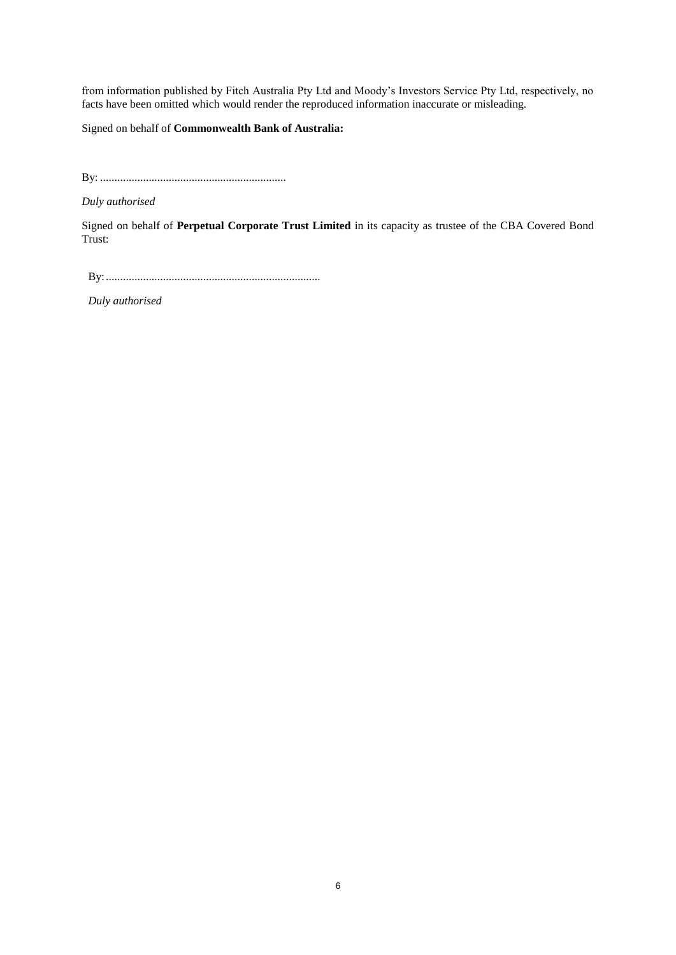from information published by Fitch Australia Pty Ltd and Moody's Investors Service Pty Ltd, respectively, no facts have been omitted which would render the reproduced information inaccurate or misleading.

Signed on behalf of **Commonwealth Bank of Australia:**

By: .................................................................

*Duly authorised*

Signed on behalf of **Perpetual Corporate Trust Limited** in its capacity as trustee of the CBA Covered Bond Trust:

By:...........................................................................

*Duly authorised*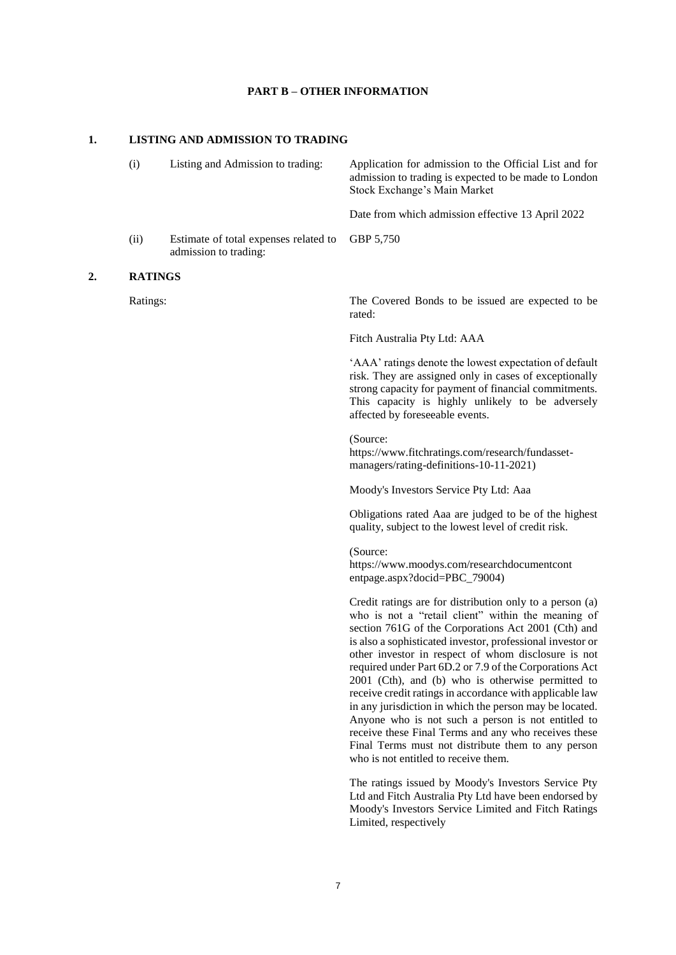#### **PART B – OTHER INFORMATION**

#### **1. LISTING AND ADMISSION TO TRADING**

|    | (i)            | Listing and Admission to trading:                              | Application for admission to the Official List and for<br>admission to trading is expected to be made to London<br>Stock Exchange's Main Market |
|----|----------------|----------------------------------------------------------------|-------------------------------------------------------------------------------------------------------------------------------------------------|
|    |                |                                                                | Date from which admission effective 13 April 2022                                                                                               |
|    | (ii)           | Estimate of total expenses related to<br>admission to trading: | GBP 5.750                                                                                                                                       |
| 2. | <b>RATINGS</b> |                                                                |                                                                                                                                                 |
|    | Ratings:       |                                                                | The Covered Bonds to be issued are expected to be                                                                                               |

rated:

Fitch Australia Pty Ltd: AAA

'AAA' ratings denote the lowest expectation of default risk. They are assigned only in cases of exceptionally strong capacity for payment of financial commitments. This capacity is highly unlikely to be adversely affected by foreseeable events.

(Source: https://www.fitchratings.com/research/fundassetmanagers/rating-definitions-10-11-2021)

Moody's Investors Service Pty Ltd: Aaa

Obligations rated Aaa are judged to be of the highest quality, subject to the lowest level of credit risk.

(Source:

https://www.moodys.com/researchdocumentcont entpage.aspx?docid=PBC\_79004)

Credit ratings are for distribution only to a person (a) who is not a "retail client" within the meaning of section 761G of the Corporations Act 2001 (Cth) and is also a sophisticated investor, professional investor or other investor in respect of whom disclosure is not required under Part 6D.2 or 7.9 of the Corporations Act 2001 (Cth), and (b) who is otherwise permitted to receive credit ratings in accordance with applicable law in any jurisdiction in which the person may be located. Anyone who is not such a person is not entitled to receive these Final Terms and any who receives these Final Terms must not distribute them to any person who is not entitled to receive them.

The ratings issued by Moody's Investors Service Pty Ltd and Fitch Australia Pty Ltd have been endorsed by Moody's Investors Service Limited and Fitch Ratings Limited, respectively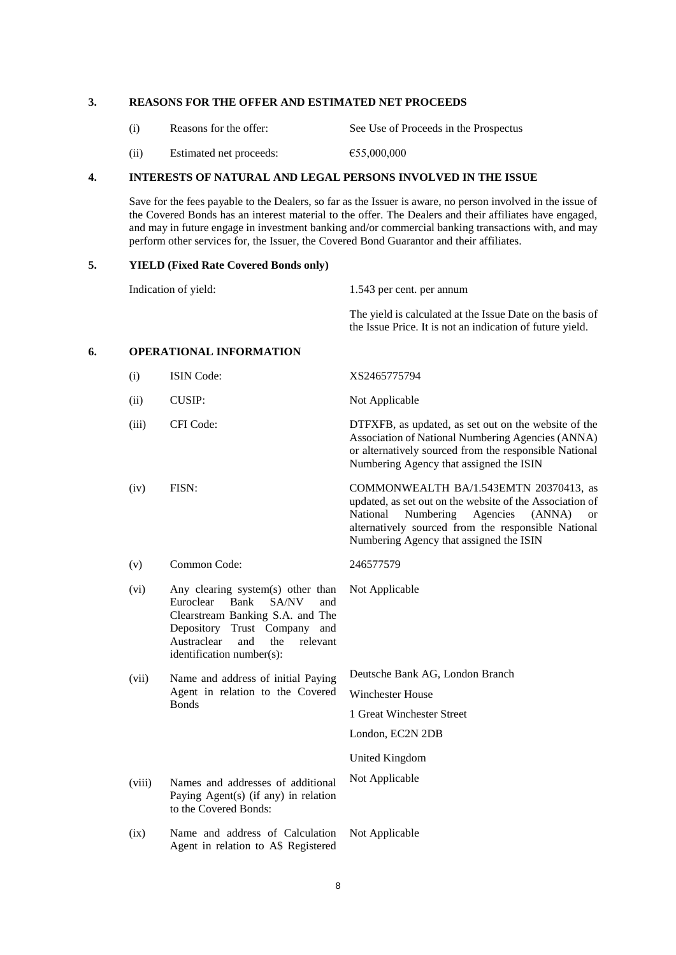## **3. REASONS FOR THE OFFER AND ESTIMATED NET PROCEEDS**

| (i) | Reasons for the offer: | See Use of Proceeds in the Prospectus |
|-----|------------------------|---------------------------------------|
|     |                        |                                       |

(ii) Estimated net proceeds:  $655,000,000$ 

## **4. INTERESTS OF NATURAL AND LEGAL PERSONS INVOLVED IN THE ISSUE**

Save for the fees payable to the Dealers, so far as the Issuer is aware, no person involved in the issue of the Covered Bonds has an interest material to the offer. The Dealers and their affiliates have engaged, and may in future engage in investment banking and/or commercial banking transactions with, and may perform other services for, the Issuer, the Covered Bond Guarantor and their affiliates.

#### **5. YIELD (Fixed Rate Covered Bonds only)**

Indication of yield: 1.543 per cent. per annum The yield is calculated at the Issue Date on the basis of the Issue Price. It is not an indication of future yield. **6. OPERATIONAL INFORMATION** (i) ISIN Code: XS2465775794 (ii) CUSIP: Not Applicable (iii) CFI Code: DTFXFB, as updated, as set out on the website of the Association of National Numbering Agencies (ANNA) or alternatively sourced from the responsible National Numbering Agency that assigned the ISIN (iv) FISN: COMMONWEALTH BA/1.543EMTN 20370413, as updated, as set out on the website of the Association of National Numbering Agencies (ANNA) or alternatively sourced from the responsible National Numbering Agency that assigned the ISIN (v) Common Code: 246577579 (vi) Any clearing system(s) other than Euroclear Bank SA/NV and Clearstream Banking S.A. and The Depository Trust Company and Austraclear and the relevant identification number(s): Not Applicable (vii) Name and address of initial Paying Agent in relation to the Covered **B**onds Deutsche Bank AG, London Branch Winchester House 1 Great Winchester Street London, EC2N 2DB United Kingdom (viii) Names and addresses of additional Paying Agent(s) (if any) in relation to the Covered Bonds: Not Applicable (ix) Name and address of Calculation Agent in relation to A\$ Registered Not Applicable